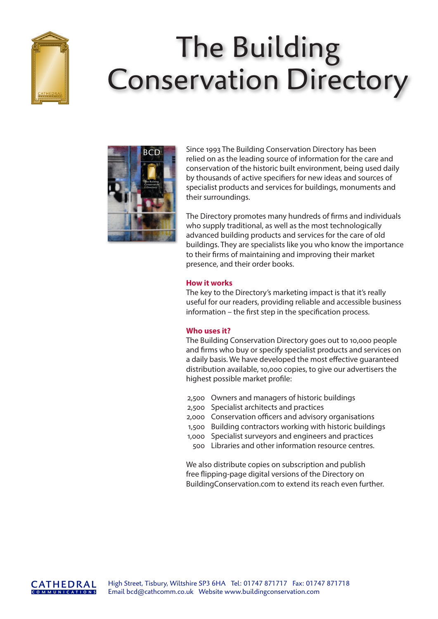

# The Building Conservation Directory



Since 1993 The Building Conservation Directory has been relied on as the leading source of information for the care and conservation of the historic built environment, being used daily by thousands of active specifiers for new ideas and sources of specialist products and services for buildings, monuments and their surroundings.

The Directory promotes many hundreds of firms and individuals who supply traditional, as well as the most technologically advanced building products and services for the care of old buildings. They are specialists like you who know the importance to their firms of maintaining and improving their market presence, and their order books.

### **How it works**

The key to the Directory's marketing impact is that it's really useful for our readers, providing reliable and accessible business information – the first step in the specification process.

# **Who uses it?**

The Building Conservation Directory goes out to 10,000 people and firms who buy or specify specialist products and services on a daily basis. We have developed the most effective guaranteed distribution available, 10,000 copies, to give our advertisers the highest possible market profile:

- 2,500 Owners and managers of historic buildings
- 2,500 Specialist architects and practices
- 2,000 Conservation officers and advisory organisations
- 1,500 Building contractors working with historic buildings
- 1,000 Specialist surveyors and engineers and practices
- 500 Libraries and other information resource centres.

We also distribute copies on subscription and publish free flipping-page digital versions of the Directory on BuildingConservation.com to extend its reach even further.